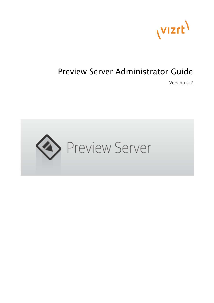

# Preview Server Administrator Guide

Version 4.2

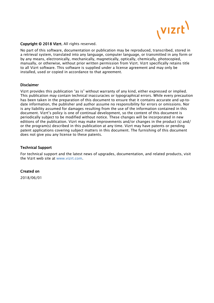

### Copyright © 2018 Vizrt. All rights reserved.

No part of this software, documentation or publication may be reproduced, transcribed, stored in a retrieval system, translated into any language, computer language, or transmitted in any form or by any means, electronically, mechanically, magnetically, optically, chemically, photocopied, manually, or otherwise, without prior written permission from Vizrt. Vizrt specifically retains title to all Vizrt software. This software is supplied under a license agreement and may only be installed, used or copied in accordance to that agreement.

### Disclaimer

Vizrt provides this publication "as is" without warranty of any kind, either expressed or implied. This publication may contain technical inaccuracies or typographical errors. While every precaution has been taken in the preparation of this document to ensure that it contains accurate and up-todate information, the publisher and author assume no responsibility for errors or omissions. Nor is any liability assumed for damages resulting from the use of the information contained in this document. Vizrt's policy is one of continual development, so the content of this document is periodically subject to be modified without notice. These changes will be incorporated in new editions of the publication. Vizrt may make improvements and/or changes in the product (s) and/ or the program(s) described in this publication at any time. Vizrt may have patents or pending patent applications covering subject matters in this document. The furnishing of this document does not give you any license to these patents.

### Technical Support

For technical support and the latest news of upgrades, documentation, and related products, visit the Vizrt web site at [www.vizrt.com.](http://www.vizrt.com)

### Created on

2018/06/01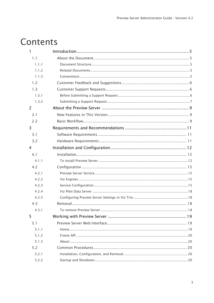# Contents

| 1              |  |
|----------------|--|
| 1.1            |  |
| 1.1.1          |  |
| 1.1.2          |  |
| 1.1.3          |  |
| 1.2            |  |
| 1.3            |  |
| 1.3.1          |  |
| 1.3.2          |  |
| 2              |  |
| 2.1            |  |
| 2.2            |  |
| 3              |  |
| 3.1            |  |
| 3.2            |  |
| $\overline{4}$ |  |
| 4.1            |  |
| 4.1.1          |  |
| 4.2            |  |
| 4.2.1          |  |
| 4.2.2          |  |
| 4.2.3          |  |
| 4.2.4          |  |
| 4.2.5          |  |
| 4.3            |  |
| 4.3.1          |  |
| 5              |  |
| 5.1            |  |
| 5.1.1          |  |
| 5.1.2          |  |
| 5.1.3          |  |
| 5.2            |  |
| 5.2.1          |  |
| 5.2.2          |  |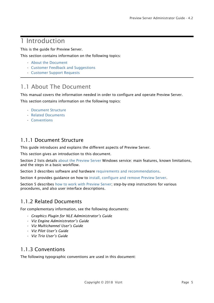# <span id="page-4-0"></span>1 Introduction

This is the guide for Preview Server.

This section contains information on the following topics:

- [About the Document](#page-4-1)
- [Customer Feedback and Suggestions](#page-5-0)
- [Customer Support Requests](#page-5-1)

# <span id="page-4-1"></span>1.1 About The Document

This manual covers the information needed in order to configure and operate Preview Server.

This section contains information on the following topics:

- [Document Structure](#page-4-2)
- [Related Documents](#page-4-3)
- [Conventions](#page-4-4)

### <span id="page-4-2"></span>1.1.1 Document Structure

This guide introduces and explains the different aspects of Preview Server.

This section gives an introduction to this document.

Section 2 lists details [about the Preview Server](#page-8-0) Windows service: main features, known limitations, and the steps in a basic workflow.

Section 3 describes software and hardware [requirements and recommendations.](#page-10-0)

Section 4 provides guidance on how to [install, configure and remove Preview Server.](#page-11-0)

Section 5 describes [how to work with Preview Server;](#page-18-0) step-by-step instructions for various procedures, and also user interface descriptions.

### <span id="page-4-3"></span>1.1.2 Related Documents

For complementary information, see the following documents:

- *Graphics Plugin for NLE Administrator's Guide*
- *Viz Engine Administrator's Guide*
- *Viz Multichannel User's Guide*
- *Viz Pilot User's Guide*
- *Viz Trio User's Guide*

### <span id="page-4-4"></span>1.1.3 Conventions

The following typographic conventions are used in this document: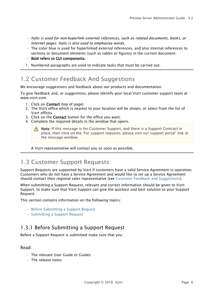- *Italic is used for non-hyperlink external references, such as related documents, books, or Internet pages. Italic is also used to emphasize words.*
- The color blue is used for hyperlinked external references, and also internal references to sections or document elements (such as tables or figures) in the current document.
- Bold refers to GUI components.
- 1. Numbered paragraphs are used to indicate tasks that must be carried out.

# <span id="page-5-0"></span>1.2 Customer Feedback And Suggestions

We encourage suggestions and feedback about our products and documentation.

To give feedback and, or suggestions, please identify your local Vizrt customer support team at www.vizrt.com.

- 1. Click on Contact (top of page).
- 2. The Vizrt office which is nearest to your location will be shown, or select from the list of Vizrt offices.
- 3. Click on the Contact button for the office you want.
- 4. Complete the required details in the window that opens.

Note: If this message is for Customer Support, and there is a Support Contract in  $\blacksquare$ place, then click on the 'For support requests, please visit our support portal' link in the message window.

A Vizrt representative will contact you as soon as possible.

# <span id="page-5-1"></span>1.3 Customer Support Requests

Support Requests are supported by Vizrt if customers have a valid Service Agreement in operation. Customers who do not have a Service Agreement and would like to set up a Service Agreement should contact their regional sales representative (see [Customer Feedback and Suggestions\)](#page-5-0).

When submitting a Support Request, relevant and correct information should be given to Vizrt Support, to make sure that Vizrt Support can give the quickest and best solution to your Support Request.

This section contains information on the following topics:

- [Before Submitting a Support Request](#page-5-2)
- [Submitting a Support Request](#page-6-0)

### <span id="page-5-2"></span>1.3.1 Before Submitting a Support Request

Before a Support Request is submitted make sure that you:

### Read:

- The relevant User Guide or Guides
- The release notes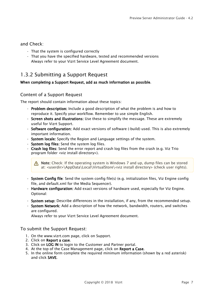### and Check:

- That the system is configured correctly
- That you have the specified hardware, tested and recommended versions Always refer to your Vizrt Service Level Agreement document.

### <span id="page-6-0"></span>1.3.2 Submitting a Support Request

### When completing a Support Request, add as much information as possible.

### <span id="page-6-1"></span>Content of a Support Request

The report should contain information about these topics:

- Problem description: Include a good description of what the problem is and how to reproduce it. Specify your workflow. Remember to use simple English.
- Screen shots and illustrations: Use these to simplify the message. These are extremely useful for Vizrt Support.
- Software configuration: Add exact versions of software (-build) used. This is also extremely important information.
- System locale: Specify the Region and Language settings of the system.
- System log files: Send the system log files.
- Crash log files: Send the error report and crash log files from the crash (e.g. Viz Trio program folder <viz install directory>).

Note: Check: If the operating system is Windows 7 and up, dump files can be stored  $\blacksquare$ at: <userdir>\AppData\Local\VirtualStore\<viz install directory> (check user rights).

- System Config file: Send the system config file(s) (e.g. initialization files, Viz Engine config file, and default.xml for the Media Sequencer).
- Hardware configuration: Add exact versions of hardware used, especially for Viz Engine. Optional:
- System setup: Describe differences in the installation, if any, from the recommended setup.
- System Network: Add a description of how the network, bandwidth, routers, and switches are configured.

Always refer to your Vizrt Service Level Agreement document.

### To submit the Support Request:

- 1. On the www.vizrt.com page, click on Support.
- 2. Click on Report a case.
- 3. Click on LOG IN to login to the Customer and Partner portal.
- 4. At the top of the Case Management page, click on Report a Case.
- 5. In the online form complete the required minimum information (shown by a red asterisk) and click SAVE.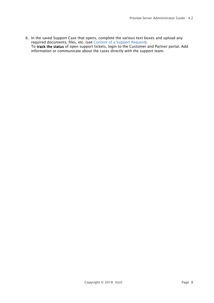6. In the saved Support Case that opens, complete the various text boxes and upload any required documents, files, etc. (see [Content of a Support Request](#page-6-1)). To track the status of open support tickets, login to the Customer and Partner portal. Add information or communicate about the cases directly with the support team.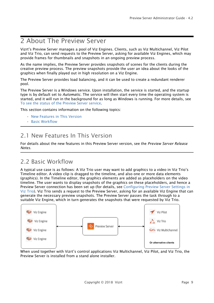# <span id="page-8-0"></span>2 About The Preview Server

Vizrt's Preview Server manages a pool of Viz Engines. Clients, such as Viz Multichannel, Viz Pilot and Viz Trio, can send requests to the Preview Server, asking for available Viz Engines, which may provide frames for thumbnails and snapshots in an ongoing preview process.

As the name implies, the Preview Server provides snapshots of scenes for the clients during the creative preview process. The preview snapshots provide the user an idea about the looks of the graphics when finally played out in high resolution on a Viz Engine.

The Preview Server provides load balancing, and it can be used to create a redundant renderer pool.

The Preview Server is a Windows service. Upon installation, the service is started, and the startup type is by default set to *Automatic*. The service will then start every time the operating system is started, and it will run in the background for as long as Windows is running. For more details, see [To see the status of the Preview Server service.](#page-20-0)

This section contains information on the following topics:

- [New Features in This Version](#page-8-1)
- [Basic Workflow](#page-8-2)

# <span id="page-8-1"></span>2.1 New Features In This Version

For details about the new features in this Preview Server version, see the *Preview Server Release Notes.*

## <span id="page-8-2"></span>2.2 Basic Workflow

A typical use case is as follows: A Viz Trio user may want to add graphics to a video in Viz Trio's Timeline editor. A video clip is dragged to the timeline, and also one or more data elements (graphics). In the Timeline editor, the graphics elements are added as placeholders on the video timeline. The user wants to display snapshots of the graphics on these placeholders, and hence a Preview Server connection has been set up (for details, see [Configuring Preview Server Settings in](#page-17-1) [Viz Trio](#page-17-1)). Viz Trio sends a request to the Preview Server, asking for an available Viz Engine that can generate the necessary preview snapshots. The Preview Server passes the task through to a suitable Viz Engine, which in turn generates the snapshots that were requested by Viz Trio.



When used together with Vizrt's control applications Viz Multichannel, Viz Pilot, and Viz Trio, the Preview Server is installed from a stand alone installer.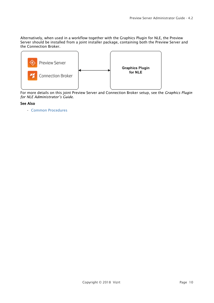Alternatively, when used in a workflow together with the Graphics Plugin for NLE, the Preview Server should be installed from a joint installer package, containing both the Preview Server and the Connection Broker.



For more details on this joint Preview Server and Connection Broker setup, see the *Graphics Plugin for NLE Administrator's Guide*.

### See Also

• [Common Procedures](#page-19-2)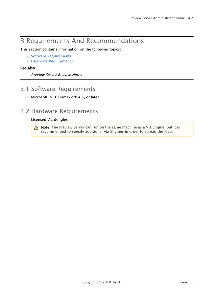# <span id="page-10-0"></span>3 Requirements And Recommendations

This section contains information on the following topics:

- [Software Requirements](#page-10-1)
- [Hardware Requirements](#page-10-2)

### See Also

• *Preview Server Release Notes*

## <span id="page-10-1"></span>3.1 Software Requirements

• Microsoft .NET Framework 4.5, or later

# <span id="page-10-2"></span>3.2 Hardware Requirements

• Licensed Viz dongles

**Note:** The Preview Server can run on the same machine as a Viz Engine, but it is recommended to specify additional Viz Engines in order to spread the load.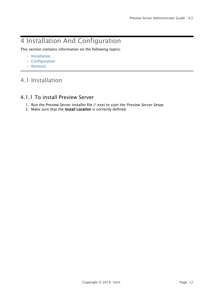# <span id="page-11-0"></span>4 Installation And Configuration

This section contains information on the following topics:

- [Installation](#page-11-1)
- [Configuration](#page-14-0)
- [Removal](#page-17-2)

# <span id="page-11-1"></span>4.1 Installation

### <span id="page-11-2"></span>4.1.1 To install Preview Server

- 1. Run the Preview Server installer file (\*.exe) to start the *Preview Server Setup*.
- 2. Make sure that the Install Location is correctly defined.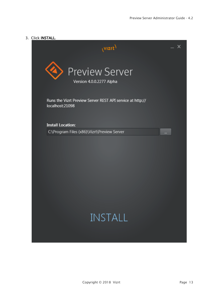### 3. Click INSTALL.

| (VIZrt)                                                                      | х        |
|------------------------------------------------------------------------------|----------|
| <b>Preview Server</b><br>Version 4.0.0.2277 Alpha                            |          |
| Runs the Vizrt Preview Server REST API service at http://<br>localhost:21098 |          |
| <b>Install Location:</b>                                                     |          |
| C:\Program Files (x86)\Vizrt\Preview Server                                  | $\cdots$ |
|                                                                              |          |
| <b>INSTALL</b>                                                               |          |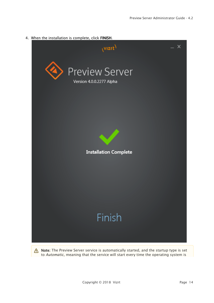4. When the installation is complete, click FINISH.



Note: The Preview Server service is automatically started, and the startup type is set to *Automatic*, meaning that the service will start every time the operating system is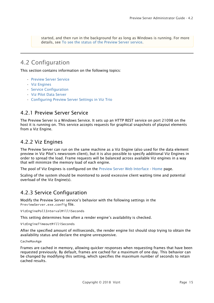started, and then run in the background for as long as Windows is running. For more details, see [To see the status of the Preview Server service](#page-20-0).

# <span id="page-14-0"></span>4.2 Configuration

This section contains information on the following topics:

- [Preview Server Service](#page-14-1)
- [Viz Engines](#page-14-2)
- [Service Configuration](#page-14-3)
- [Viz Pilot Data Server](#page-17-0)
- [Configuring Preview Server Settings in Viz Trio](#page-17-1)

### <span id="page-14-1"></span>4.2.1 Preview Server Service

The Preview Server is a Windows Service. It sets up an HTTP REST service on port 21098 on the host it is running on. This service accepts requests for graphical snapshots of playout elements from a Viz Engine.

### <span id="page-14-2"></span>4.2.2 Viz Engines

The Preview Server can run on the same machine as a Viz Engine (also used for the data element preview in Viz Pilot's newsroom client), but it is also possible to specify additional Viz Engines in order to spread the load. Frame requests will be balanced across available Viz engines in a way that will minimize the memory load of each engine.

The pool of Viz Engines is configured on the [Preview Server Web Interface](#page-18-1) - [Home](#page-18-2) page.

Scaling of the system should be monitored to avoid excessive client waiting time and potential overload of the Viz Engine(s).

### <span id="page-14-3"></span>4.2.3 Service Configuration

Modify the Preview Server service's behavior with the following settings in the PreviewServer.exe.config file.

VizEnginePollIntervalMilliSeconds

This setting determines how often a render engine's availability is checked.

VizEngineTimeoutMilliSeconds

After the specified amount of milliseconds, the render engine list should stop trying to obtain the availability status and declare the engine unresponsive.

CacheMaxAge

Frames are cached in memory, allowing quicker responses when requesting frames that have been requested previously. By default, frames are cached for a maximum of one day. This behavior can be changed by modifying this setting, which specifies the maximum number of seconds to retain cached results.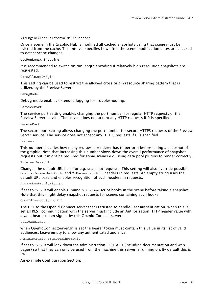#### VizEngineCleanupIntervalMilliSeconds

Once a scene in the Graphic Hub is modified all cached snapshots using that scene must be evicted from the cache. This interval specifies how often the scene modification dates are checked to detect scene changes.

#### UseRunLengthEncoding

It is recommended to switch on run length encoding if relatively high-resolution snapshots are requested.

#### CorsAllowedOrigin

This setting can be used to restrict the allowed cross origin resource sharing pattern that is utilized by the Preview Server.

#### DebugMode

Debug mode enables extended logging for troubleshooting.

#### ServicePort

The service port setting enables changing the port number for regular HTTP requests of the Preview Server service. The service does not accept any HTTP requests if 0 is specified.

#### SecurePort

The secure port setting allows changing the port number for secure HTTPS requests of the Preview Server service. The service does not accept any HTTPS requests if 0 is specified.

#### Redraws

This number specifies how many redraws a renderer has to perform before taking a snapshot of the graphic. Note that increasing this number slows down the overall performance of snapshot requests but it might be required for some scenes e.g. using data pool plugins to render correctly.

#### ExternalBaseUrl

Changes the default URL base for e.g. snapshot requests. This setting will also override possible Host, X-Forwarded-Proto and X-Forwarded-Port headers in requests. An empty string uses the default URL base and enables recognition of such headers in requests.

#### AlwaysRunPreviewScript

If set to True it will enable running OnPreview script hooks in the scene before taking a snapshot. Note that this might delay snapshot requests for scenes containing such hooks.

#### OpenIdConnectServerUrl

The URL to the OpenId Connect server that is trusted to handle user authentication. When this is set all REST communication with the server must include an Authorization HTTP header value with a valid bearer token signed by this OpenId Connect server.

#### ValidAudience

When OpenIdConnectServerUrl is set the bearer token must contain this value in its list of valid audiences. Leave empty to allow any authenticated audience.

#### AdministrationFromLocalhostOnly

If set to True it will lock down the administration REST APIs (including documentation and web pages) so that they can only be used from the machine this server is running on. By default this is true.

An example Configuration Section: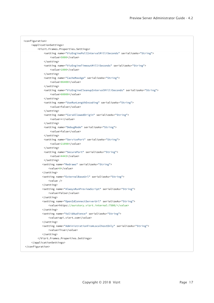| <configuration></configuration>                                                      |
|--------------------------------------------------------------------------------------|
| <applicationsettings></applicationsettings>                                          |
| <vizrt.frames.properties.settings></vizrt.frames.properties.settings>                |
| <setting name="VizEnginePollIntervalMilliSeconds" serializeas="String"></setting>    |
| <value>5000</value>                                                                  |
|                                                                                      |
| <setting name="VizEngineTimeoutMilliSeconds" serializeas="String"></setting>         |
| <value>1000</value>                                                                  |
|                                                                                      |
| <setting name="CacheMaxAge" serializeas="String"></setting>                          |
| <value>86400</value>                                                                 |
|                                                                                      |
| <setting name="VizEngineCleanupIntervalMilliSeconds" serializeas="String"></setting> |
| <value>60000</value>                                                                 |
|                                                                                      |
| <setting name="UseRunLengthEncoding" serializeas="String"></setting>                 |
| <value>False</value>                                                                 |
|                                                                                      |
| <setting name="CorsAllowedOrigin" serializeas="String"></setting>                    |
| <value>*</value>                                                                     |
|                                                                                      |
| <setting name="DebugMode" serializeas="String"></setting>                            |
| <value>False</value>                                                                 |
|                                                                                      |
| <setting name="ServicePort" serializeas="String"></setting>                          |
| <value>21098</value>                                                                 |
|                                                                                      |
| <setting name="SecurePort" serializeas="String"></setting>                           |
| <value>4443</value>                                                                  |
|                                                                                      |
| <setting name="Redraws" serializeas="String"></setting>                              |
| <value>0</value>                                                                     |
|                                                                                      |
| <setting name="ExternalBaseUrl" serializeas="String"></setting>                      |
| $\langle$ value />                                                                   |
|                                                                                      |
| <setting name="AlwaysRunPreviewScript" serializeas="String"></setting>               |
| <value>False</value>                                                                 |
|                                                                                      |
| <setting name="OpenIdConnectServerUrl" serializeas="String"></setting>               |
| <value>https://ourstory.vizrt.internal:7500/</value>                                 |
|                                                                                      |
| <setting name="ValidAudience" serializeas="String"></setting>                        |
| <value>api.vizrt.com</value>                                                         |
| <br><setting name="AdministrationFromLocalhostOnly" serializeas="String"></setting>  |
|                                                                                      |
| <value>True</value><br>                                                              |
|                                                                                      |
|                                                                                      |
|                                                                                      |
|                                                                                      |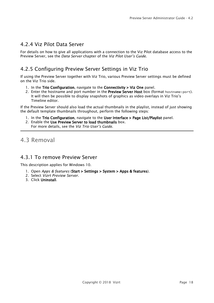### <span id="page-17-0"></span>4.2.4 Viz Pilot Data Server

For details on how to give all applications with a connection to the Viz Pilot database access to the Preview Server, see the *Data Server* chapter of the *Viz Pilot User's Guide*.

# <span id="page-17-1"></span>4.2.5 Configuring Preview Server Settings in Viz Trio

If using the Preview Server together with Viz Trio, various Preview Server settings must be defined on the Viz Trio side.

- 1. In the Trio Configuration, navigate to the Connectivity > Viz One panel.
- 2. Enter the hostname and port number in the Preview Server Host box (format hostname: port). It will then be possible to display snapshots of graphics as video overlays in Viz Trio's Timeline editor.

If the Preview Server should also load the actual thumbnails in the playlist, instead of just showing the default template thumbnails throughout, perform the following steps:

- 1. In the Trio Configuration, navigate to the User Interface > Page List/Playlist panel.
- 2. Enable the Use Preview Server to load thumbnails box. For more details, see the *Viz Trio User's Guide*.

## <span id="page-17-2"></span>4.3 Removal

### <span id="page-17-3"></span>4.3.1 To remove Preview Server

This description applies for Windows 10.

- 1. Open *Apps & features* (Start > Settings > System > Apps & features).
- 2. Select *Vizrt Preview Server*.
- 3. Click Uninstall.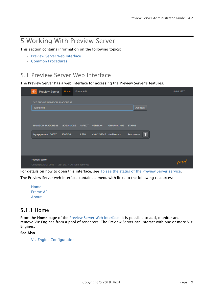# <span id="page-18-0"></span>5 Working With Preview Server

This section contains information on the following topics:

- [Preview Server Web Interface](#page-18-1)
- [Common Procedures](#page-19-2)

# <span id="page-18-1"></span>5.1 Preview Server Web Interface

The Preview Server has a web interface for accessing the Preview Server's features.

| ◈<br><b>Preview Server</b>                                                      | Home     | Frame API |                                               |                    |                             |                |   |  | 4.0.0.2277 |
|---------------------------------------------------------------------------------|----------|-----------|-----------------------------------------------|--------------------|-----------------------------|----------------|---|--|------------|
| VIZ ENGINE NAME OR IP ADDRESS<br>vizengine1                                     |          |           |                                               |                    |                             | <b>Add New</b> |   |  |            |
| NAME OR IP ADDRESS VIDEO MODE ASPECT<br>bgoqapreview1:50007                     | 1080i 50 | 1.778     | <b>VERSION</b><br>v3.8.2.56645 slartibartfast | <b>GRAPHIC HUB</b> | <b>STATUS</b><br>Responsive |                | n |  |            |
|                                                                                 |          |           |                                               |                    |                             |                |   |  |            |
| <b>Preview Server</b><br>Copyright 2012-2016 · Vizrt Ltd. · All rights reserved |          |           |                                               |                    |                             |                |   |  |            |

For details on how to open this interface, see [To see the status of the Preview Server service.](#page-20-0)

The Preview Server web interface contains a menu with links to the following resources:

- [Home](#page-18-2)
- [Frame API](#page-19-0)
- [About](#page-19-1)

### <span id="page-18-2"></span>5.1.1 Home

From the Home page of the [Preview Server Web Interface](#page-18-1), it is possible to add, monitor and remove Viz Engines from a pool of renderers. The Preview Server can interact with one or more Viz Engines.

### See Also

• [Viz Engine Configuration](#page-21-0)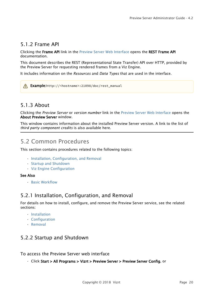## <span id="page-19-0"></span>5.1.2 Frame API

Clicking the Frame API link in the [Preview Server Web Interface](#page-18-1) opens the REST Frame API documentation.

This document describes the REST (Representational State Transfer) API over HTTP, provided by the Preview Server for requesting rendered frames from a Viz Engine.

It includes information on the *Resources* and *Data Types* that are used in the interface.

Example:http://<hostname>:21098/doc/rest\_manual

### <span id="page-19-1"></span>5.1.3 About

Clicking the *Preview Server* or *version number* link in the [Preview Server Web Interface](#page-18-1) opens the About Preview Server window.

This window contains information about the installed Preview Server version. A link to the list of *third party component credits* is also available here.

# <span id="page-19-2"></span>5.2 Common Procedures

This section contains procedures related to the following topics:

- [Installation, Configuration, and Removal](#page-19-3)
- [Startup and Shutdown](#page-19-4)
- [Viz Engine Configuration](#page-21-0)

### See Also

• [Basic Workflow](#page-8-2)

### <span id="page-19-3"></span>5.2.1 Installation, Configuration, and Removal

For details on how to install, configure, and remove the Preview Server service, see the related sections:

- [Installation](#page-11-1)
- [Configuration](#page-14-0)
- [Removal](#page-17-2)

### <span id="page-19-4"></span>5.2.2 Startup and Shutdown

To access the Preview Server web interface

• Click Start > All Programs > Vizrt > Preview Server > Preview Server Config, or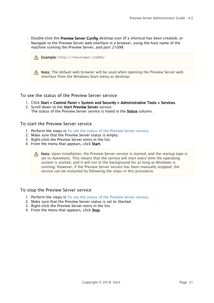- Double-click the Preview Server Config desktop icon (if a shortcut has been created), or
- Navigate to the Preview Server web interface in a browser, using the host name of the machine running the Preview Server, and port *21098*.

| $\bigwedge$ Example: http:// <hostname>:21098/</hostname>                                                                           |  |
|-------------------------------------------------------------------------------------------------------------------------------------|--|
| Note: The default web browser will be used when opening the Preview Server web<br>interface from the Windows Start menu or desktop. |  |

<span id="page-20-0"></span>To see the status of the Preview Server service

- 1. Click Start > Control Panel > System and Security > Administrative Tools > Services.
- 2. Scroll down to the Vizrt Preview Server service. The status of the Preview Server service is listed in the Status column.

### To start the Preview Server service

- 1. Perform the steps in [To see the status of the Preview Server service](#page-20-0).
- 2. Make sure that the Preview Server status is empty.
- 3. Right-click the Preview Server entry in the list.
- 4. From the menu that appears, click Start.

 $\bigwedge$  Note: Upon installation, the Preview Server service is started, and the startup type is  $\bigwedge$ set to *Automatic*. This means that the service will start every time the operating system is started, and it will run in the background for as long as Windows is running. However, if the Preview Server service has been manually stopped, the service can be restarted by following the steps in this procedure.

#### To stop the Preview Server service

- 1. Perform the steps in [To see the status of the Preview Server service](#page-20-0).
- 2. Make sure that the Preview Server status is set to *Started*.
- 3. Right-click the Preview Server entry in the list.
- 4. From the menu that appears, click Stop.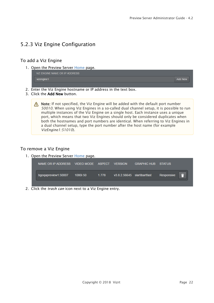### <span id="page-21-0"></span>5.2.3 Viz Engine Configuration

### To add a Viz Engine

1. Open the Preview Server Home page.

VIZ ENGINE NAME OR IP ADDRESS vizengine1 **Add New** 

- 2. Enter the Viz Engine hostname or IP address in the text box.
- 3. Click the Add New button.

 $\bigwedge$  Note: If not specified, the Viz Engine will be added with the default port number *50010*. When using Viz Engines in a so-called dual channel setup, it is possible to run multiple instances of the Viz Engine on a single host. Each instance uses a unique port, which means that two Viz Engines should only be considered duplicates when both the hostnames and port numbers are identical. When referring to Viz Engines in a dual channel setup, type the port number after the host name (for example *VizEngine1:51010*).

### To remove a Viz Engine

1. Open the Preview Server Home page.

| NAME OR IP ADDRESS VIDEO MODE ASPECT VERSION |          |          |                                      | <b>GRAPHIC HUB STATUS</b> |            |
|----------------------------------------------|----------|----------|--------------------------------------|---------------------------|------------|
| bgoqapreview1:50007                          | 1080i 50 | $-1.778$ | $\sqrt{3.8.2.56645}$ slartibart fast |                           | Responsive |

2. Click the *trash can* icon next to a Viz Engine entry.